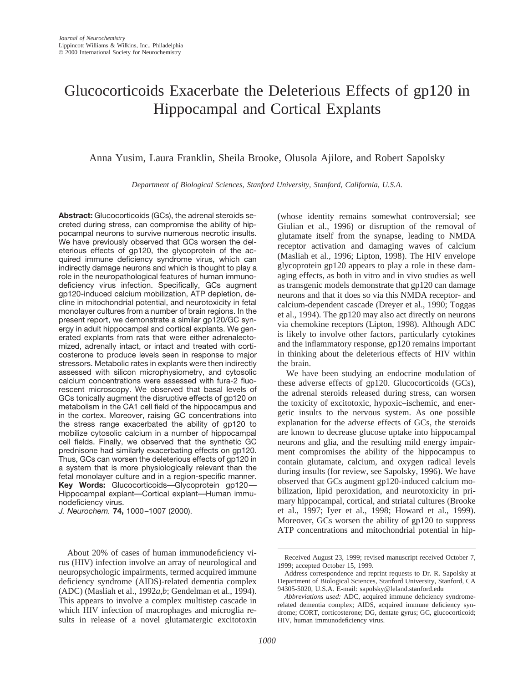# Glucocorticoids Exacerbate the Deleterious Effects of gp120 in Hippocampal and Cortical Explants

Anna Yusim, Laura Franklin, Sheila Brooke, Olusola Ajilore, and Robert Sapolsky

*Department of Biological Sciences, Stanford University, Stanford, California, U.S.A.*

**Abstract:** Glucocorticoids (GCs), the adrenal steroids secreted during stress, can compromise the ability of hippocampal neurons to survive numerous necrotic insults. We have previously observed that GCs worsen the deleterious effects of gp120, the glycoprotein of the acquired immune deficiency syndrome virus, which can indirectly damage neurons and which is thought to play a role in the neuropathological features of human immunodeficiency virus infection. Specifically, GCs augment gp120-induced calcium mobilization, ATP depletion, decline in mitochondrial potential, and neurotoxicity in fetal monolayer cultures from a number of brain regions. In the present report, we demonstrate a similar gp120/GC synergy in adult hippocampal and cortical explants. We generated explants from rats that were either adrenalectomized, adrenally intact, or intact and treated with corticosterone to produce levels seen in response to major stressors. Metabolic rates in explants were then indirectly assessed with silicon microphysiometry, and cytosolic calcium concentrations were assessed with fura-2 fluorescent microscopy. We observed that basal levels of GCs tonically augment the disruptive effects of gp120 on metabolism in the CA1 cell field of the hippocampus and in the cortex. Moreover, raising GC concentrations into the stress range exacerbated the ability of gp120 to mobilize cytosolic calcium in a number of hippocampal cell fields. Finally, we observed that the synthetic GC prednisone had similarly exacerbating effects on gp120. Thus, GCs can worsen the deleterious effects of gp120 in a system that is more physiologically relevant than the fetal monolayer culture and in a region-specific manner. **Key Words:** Glucocorticoids—Glycoprotein gp120— Hippocampal explant—Cortical explant—Human immunodeficiency virus.

*J. Neurochem.* **74,** 1000–1007 (2000).

(whose identity remains somewhat controversial; see Giulian et al., 1996) or disruption of the removal of glutamate itself from the synapse, leading to NMDA receptor activation and damaging waves of calcium (Masliah et al., 1996; Lipton, 1998). The HIV envelope glycoprotein gp120 appears to play a role in these damaging effects, as both in vitro and in vivo studies as well as transgenic models demonstrate that gp120 can damage neurons and that it does so via this NMDA receptor- and calcium-dependent cascade (Dreyer et al., 1990; Toggas et al., 1994). The gp120 may also act directly on neurons via chemokine receptors (Lipton, 1998). Although ADC is likely to involve other factors, particularly cytokines and the inflammatory response, gp120 remains important in thinking about the deleterious effects of HIV within the brain.

We have been studying an endocrine modulation of these adverse effects of gp120. Glucocorticoids (GCs), the adrenal steroids released during stress, can worsen the toxicity of excitotoxic, hypoxic–ischemic, and energetic insults to the nervous system. As one possible explanation for the adverse effects of GCs, the steroids are known to decrease glucose uptake into hippocampal neurons and glia, and the resulting mild energy impairment compromises the ability of the hippocampus to contain glutamate, calcium, and oxygen radical levels during insults (for review, see Sapolsky, 1996). We have observed that GCs augment gp120-induced calcium mobilization, lipid peroxidation, and neurotoxicity in primary hippocampal, cortical, and striatal cultures (Brooke et al., 1997; Iyer et al., 1998; Howard et al., 1999). Moreover, GCs worsen the ability of gp120 to suppress ATP concentrations and mitochondrial potential in hip-

About 20% of cases of human immunodeficiency virus (HIV) infection involve an array of neurological and neuropsychologic impairments, termed acquired immune deficiency syndrome (AIDS)-related dementia complex (ADC) (Masliah et al., 1992*a*,*b*; Gendelman et al., 1994). This appears to involve a complex multistep cascade in which HIV infection of macrophages and microglia results in release of a novel glutamatergic excitotoxin

Received August 23, 1999; revised manuscript received October 7, 1999; accepted October 15, 1999.

Address correspondence and reprint requests to Dr. R. Sapolsky at Department of Biological Sciences, Stanford University, Stanford, CA 94305-5020, U.S.A. E-mail: sapolsky@leland.stanford.edu

*Abbreviations used:* ADC, acquired immune deficiency syndromerelated dementia complex; AIDS, acquired immune deficiency syndrome; CORT, corticosterone; DG, dentate gyrus; GC, glucocorticoid; HIV, human immunodeficiency virus.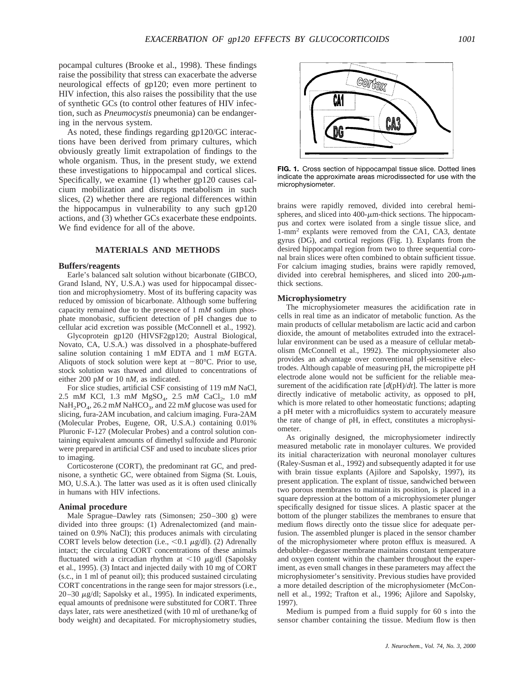pocampal cultures (Brooke et al., 1998). These findings raise the possibility that stress can exacerbate the adverse neurological effects of gp120; even more pertinent to HIV infection, this also raises the possibility that the use of synthetic GCs (to control other features of HIV infection, such as *Pneumocystis* pneumonia) can be endangering in the nervous system.

As noted, these findings regarding gp120/GC interactions have been derived from primary cultures, which obviously greatly limit extrapolation of findings to the whole organism. Thus, in the present study, we extend these investigations to hippocampal and cortical slices. Specifically, we examine (1) whether gp120 causes calcium mobilization and disrupts metabolism in such slices, (2) whether there are regional differences within the hippocampus in vulnerability to any such gp120 actions, and (3) whether GCs exacerbate these endpoints. We find evidence for all of the above.

## **MATERIALS AND METHODS**

#### **Buffers/reagents**

Earle's balanced salt solution without bicarbonate (GIBCO, Grand Island, NY, U.S.A.) was used for hippocampal dissection and microphysiometry. Most of its buffering capacity was reduced by omission of bicarbonate. Although some buffering capacity remained due to the presence of 1 m*M* sodium phosphate monobasic, sufficient detection of pH changes due to cellular acid excretion was possible (McConnell et al., 1992).

Glycoprotein gp120 (HIVSF2gp120; Austral Biological, Novato, CA, U.S.A.) was dissolved in a phosphate-buffered saline solution containing 1 m*M* EDTA and 1 m*M* EGTA. Aliquots of stock solution were kept at  $-80^{\circ}$ C. Prior to use, stock solution was thawed and diluted to concentrations of either 200 p*M* or 10 n*M,* as indicated.

For slice studies, artificial CSF consisting of 119 m*M* NaCl, 2.5 mM KCl, 1.3 mM MgSO<sub>4</sub>, 2.5 mM CaCl<sub>2</sub>, 1.0 mM NaH<sub>2</sub>PO<sub>4</sub>, 26.2 mM NaHCO<sub>3</sub>, and 22 mM glucose was used for slicing, fura-2AM incubation, and calcium imaging. Fura-2AM (Molecular Probes, Eugene, OR, U.S.A.) containing 0.01% Pluronic F-127 (Molecular Probes) and a control solution containing equivalent amounts of dimethyl sulfoxide and Pluronic were prepared in artificial CSF and used to incubate slices prior to imaging.

Corticosterone (CORT), the predominant rat GC, and prednisone, a synthetic GC, were obtained from Sigma (St. Louis, MO, U.S.A.). The latter was used as it is often used clinically in humans with HIV infections.

### **Animal procedure**

Male Sprague–Dawley rats (Simonsen; 250–300 g) were divided into three groups: (1) Adrenalectomized (and maintained on 0.9% NaCl); this produces animals with circulating CORT levels below detection (i.e.,  $\leq 0.1 \mu g/dl$ ). (2) Adrenally intact; the circulating CORT concentrations of these animals fluctuated with a circadian rhythm at  $\lt 10$   $\mu$ g/dl (Sapolsky et al., 1995). (3) Intact and injected daily with 10 mg of CORT (s.c., in 1 ml of peanut oil); this produced sustained circulating CORT concentrations in the range seen for major stressors (i.e.,  $20-30 \mu$ g/dl; Sapolsky et al., 1995). In indicated experiments, equal amounts of prednisone were substituted for CORT. Three days later, rats were anesthetized (with 10 ml of urethane/kg of body weight) and decapitated. For microphysiometry studies,



**FIG. 1.** Cross section of hippocampal tissue slice. Dotted lines indicate the approximate areas microdissected for use with the microphysiometer.

brains were rapidly removed, divided into cerebral hemispheres, and sliced into 400- $\mu$ m-thick sections. The hippocampus and cortex were isolated from a single tissue slice, and 1-mm2 explants were removed from the CA1, CA3, dentate gyrus (DG), and cortical regions (Fig. 1). Explants from the desired hippocampal region from two to three sequential coronal brain slices were often combined to obtain sufficient tissue. For calcium imaging studies, brains were rapidly removed, divided into cerebral hemispheres, and sliced into  $200-\mu m$ thick sections.

#### **Microphysiometry**

The microphysiometer measures the acidification rate in cells in real time as an indicator of metabolic function. As the main products of cellular metabolism are lactic acid and carbon dioxide, the amount of metabolites extruded into the extracellular environment can be used as a measure of cellular metabolism (McConnell et al., 1992). The microphysiometer also provides an advantage over conventional pH-sensitive electrodes. Although capable of measuring pH, the micropipette pH electrode alone would not be sufficient for the reliable measurement of the acidification rate [*d*(pH)/*dt*]. The latter is more directly indicative of metabolic activity, as opposed to pH, which is more related to other homeostatic functions; adapting a pH meter with a microfluidics system to accurately measure the rate of change of pH, in effect, constitutes a microphysiometer.

As originally designed, the microphysiometer indirectly measured metabolic rate in monolayer cultures. We provided its initial characterization with neuronal monolayer cultures (Raley-Susman et al., 1992) and subsequently adapted it for use with brain tissue explants (Ajilore and Sapolsky, 1997), its present application. The explant of tissue, sandwiched between two porous membranes to maintain its position, is placed in a square depression at the bottom of a microphysiometer plunger specifically designed for tissue slices. A plastic spacer at the bottom of the plunger stabilizes the membranes to ensure that medium flows directly onto the tissue slice for adequate perfusion. The assembled plunger is placed in the sensor chamber of the microphysiometer where proton efflux is measured. A debubbler–degasser membrane maintains constant temperature and oxygen content within the chamber throughout the experiment, as even small changes in these parameters may affect the microphysiometer's sensitivity. Previous studies have provided a more detailed description of the microphysiometer (McConnell et al., 1992; Trafton et al., 1996; Ajilore and Sapolsky, 1997).

Medium is pumped from a fluid supply for 60 s into the sensor chamber containing the tissue. Medium flow is then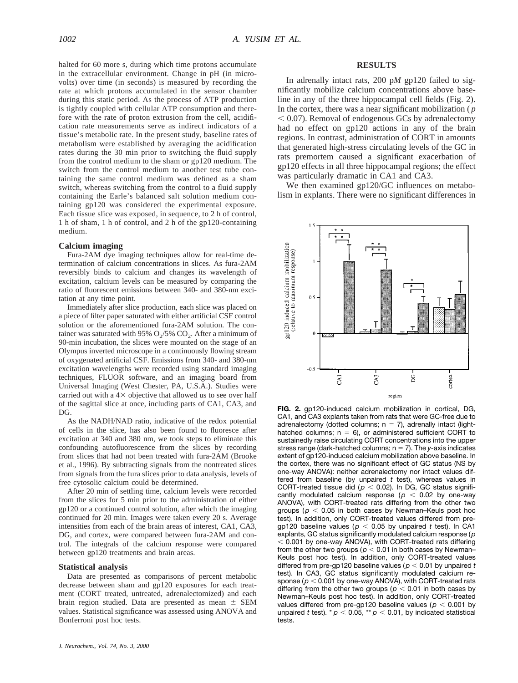halted for 60 more s, during which time protons accumulate in the extracellular environment. Change in pH (in microvolts) over time (in seconds) is measured by recording the rate at which protons accumulated in the sensor chamber during this static period. As the process of ATP production is tightly coupled with cellular ATP consumption and therefore with the rate of proton extrusion from the cell, acidification rate measurements serve as indirect indicators of a tissue's metabolic rate. In the present study, baseline rates of metabolism were established by averaging the acidification rates during the 30 min prior to switching the fluid supply from the control medium to the sham or gp120 medium. The switch from the control medium to another test tube containing the same control medium was defined as a sham switch, whereas switching from the control to a fluid supply containing the Earle's balanced salt solution medium containing gp120 was considered the experimental exposure. Each tissue slice was exposed, in sequence, to 2 h of control, 1 h of sham, 1 h of control, and 2 h of the gp120-containing medium.

## **Calcium imaging**

Fura-2AM dye imaging techniques allow for real-time determination of calcium concentrations in slices. As fura-2AM reversibly binds to calcium and changes its wavelength of excitation, calcium levels can be measured by comparing the ratio of fluorescent emissions between 340- and 380-nm excitation at any time point.

Immediately after slice production, each slice was placed on a piece of filter paper saturated with either artificial CSF control solution or the aforementioned fura-2AM solution. The container was saturated with 95%  $O_2/5\%$   $CO_2$ . After a minimum of 90-min incubation, the slices were mounted on the stage of an Olympus inverted microscope in a continuously flowing stream of oxygenated artificial CSF. Emissions from 340- and 380-nm excitation wavelengths were recorded using standard imaging techniques, FLUOR software, and an imaging board from Universal Imaging (West Chester, PA, U.S.A.). Studies were carried out with a  $4\times$  objective that allowed us to see over half of the sagittal slice at once, including parts of CA1, CA3, and DG.

As the NADH/NAD ratio, indicative of the redox potential of cells in the slice, has also been found to fluoresce after excitation at 340 and 380 nm, we took steps to eliminate this confounding autofluorescence from the slices by recording from slices that had not been treated with fura-2AM (Brooke et al., 1996). By subtracting signals from the nontreated slices from signals from the fura slices prior to data analysis, levels of free cytosolic calcium could be determined.

After 20 min of settling time, calcium levels were recorded from the slices for 5 min prior to the administration of either gp120 or a continued control solution, after which the imaging continued for 20 min. Images were taken every 20 s. Average intensities from each of the brain areas of interest, CA1, CA3, DG, and cortex, were compared between fura-2AM and control. The integrals of the calcium response were compared between gp120 treatments and brain areas.

#### **Statistical analysis**

Data are presented as comparisons of percent metabolic decrease between sham and gp120 exposures for each treatment (CORT treated, untreated, adrenalectomized) and each brain region studied. Data are presented as mean  $\pm$  SEM values. Statistical significance was assessed using ANOVA and Bonferroni post hoc tests.

#### **RESULTS**

In adrenally intact rats, 200 p*M* gp120 failed to significantly mobilize calcium concentrations above baseline in any of the three hippocampal cell fields (Fig. 2). In the cortex, there was a near significant mobilization ( *p*  $<$  0.07). Removal of endogenous GCs by adrenalectomy had no effect on gp120 actions in any of the brain regions. In contrast, administration of CORT in amounts that generated high-stress circulating levels of the GC in rats premortem caused a significant exacerbation of gp120 effects in all three hippocampal regions; the effect was particularly dramatic in CA1 and CA3.

We then examined gp120/GC influences on metabolism in explants. There were no significant differences in



**FIG. 2.** gp120-induced calcium mobilization in cortical, DG, CA1, and CA3 explants taken from rats that were GC-free due to adrenalectomy (dotted columns;  $n = 7$ ), adrenally intact (lighthatched columns;  $n = 6$ ), or administered sufficient CORT to sustainedly raise circulating CORT concentrations into the upper stress range (dark-hatched columns;  $n = 7$ ). The *y*-axis indicates extent of gp120-induced calcium mobilization above baseline. In the cortex, there was no significant effect of GC status (NS by one-way ANOVA): neither adrenalectomy nor intact values differed from baseline (by unpaired *t* test), whereas values in CORT-treated tissue did ( $p < 0.02$ ). In DG, GC status significantly modulated calcium response ( $p < 0.02$  by one-way ANOVA), with CORT-treated rats differing from the other two groups ( $p < 0.05$  in both cases by Newman–Keuls post hoc test). In addition, only CORT-treated values differed from pregp120 baseline values ( $p < 0.05$  by unpaired *t* test). In CA1 explants, GC status significantly modulated calcium response ( *p*  $<$  0.001 by one-way ANOVA), with CORT-treated rats differing from the other two groups ( $p < 0.01$  in both cases by Newman– Keuls post hoc test). In addition, only CORT-treated values differed from pre-gp120 baseline values ( $p < 0.01$  by unpaired *t* test). In CA3, GC status significantly modulated calcium response ( $p < 0.001$  by one-way ANOVA), with CORT-treated rats differing from the other two groups ( $p < 0.01$  in both cases by Newman–Keuls post hoc test). In addition, only CORT-treated values differed from pre-gp120 baseline values ( $p < 0.001$  by unpaired *t* test).  $p < 0.05$ , \*\*  $p < 0.01$ , by indicated statistical tests.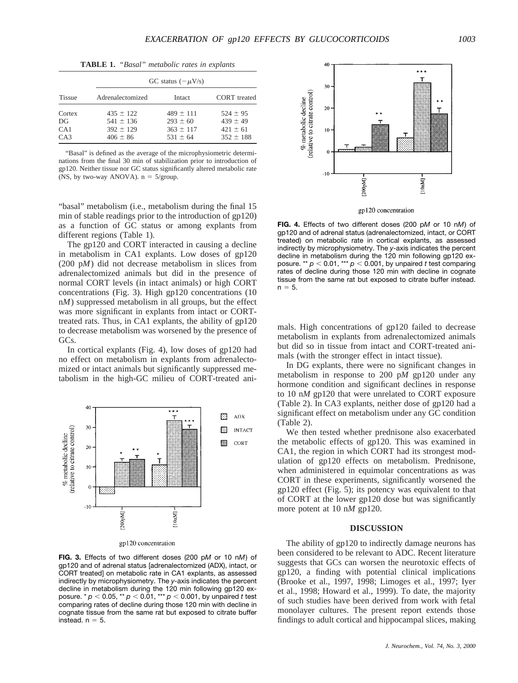**TABLE 1.** *"Basal" metabolic rates in explants*

| <b>Tissue</b>              | GC status $(-\mu V/s)$                                          |                                                                |                                                               |  |
|----------------------------|-----------------------------------------------------------------|----------------------------------------------------------------|---------------------------------------------------------------|--|
|                            | Adrenalectomized                                                | Intact                                                         | CORT treated                                                  |  |
| Cortex<br>DG<br>CA1<br>CA3 | $435 \pm 122$<br>$541 \pm 136$<br>$392 \pm 129$<br>$406 \pm 86$ | $489 \pm 111$<br>$293 \pm 60$<br>$363 \pm 117$<br>$531 \pm 64$ | $524 \pm 95$<br>$439 \pm 49$<br>$421 \pm 61$<br>$352 \pm 188$ |  |

"Basal" is defined as the average of the microphysiometric determinations from the final 30 min of stabilization prior to introduction of gp120. Neither tissue nor GC status significantly altered metabolic rate (NS, by two-way ANOVA).  $n = 5/$ group.

"basal" metabolism (i.e., metabolism during the final 15 min of stable readings prior to the introduction of gp120) as a function of GC status or among explants from different regions (Table 1).

The gp120 and CORT interacted in causing a decline in metabolism in CA1 explants. Low doses of gp120 (200 p*M*) did not decrease metabolism in slices from adrenalectomized animals but did in the presence of normal CORT levels (in intact animals) or high CORT concentrations (Fig. 3). High gp120 concentrations (10 n*M*) suppressed metabolism in all groups, but the effect was more significant in explants from intact or CORTtreated rats. Thus, in CA1 explants, the ability of gp120 to decrease metabolism was worsened by the presence of GCs.

In cortical explants (Fig. 4), low doses of gp120 had no effect on metabolism in explants from adrenalectomized or intact animals but significantly suppressed metabolism in the high-GC milieu of CORT-treated ani-



gp120 concentration

**FIG. 3.** Effects of two different doses (200 p*M* or 10 n*M*) of gp120 and of adrenal status [adrenalectomized (ADX), intact, or CORT treated] on metabolic rate in CA1 explants, as assessed indirectly by microphysiometry. The *y*-axis indicates the percent decline in metabolism during the 120 min following gp120 exposure. \* *p* , 0.05, \*\* *p* , 0.01, \*\*\* *p* , 0.001, by unpaired *t* test comparing rates of decline during those 120 min with decline in cognate tissue from the same rat but exposed to citrate buffer instead.  $n = 5$ .



gp120 concentration

**FIG. 4.** Effects of two different doses (200 p*M* or 10 n*M*) of gp120 and of adrenal status (adrenalectomized, intact, or CORT treated) on metabolic rate in cortical explants, as assessed indirectly by microphysiometry. The *y*-axis indicates the percent decline in metabolism during the 120 min following gp120 exposure. \*\*  $p < 0.01$ , \*\*\*  $p < 0.001$ , by unpaired *t* test comparing rates of decline during those 120 min with decline in cognate tissue from the same rat but exposed to citrate buffer instead.  $n = 5$ .

mals. High concentrations of gp120 failed to decrease metabolism in explants from adrenalectomized animals but did so in tissue from intact and CORT-treated animals (with the stronger effect in intact tissue).

In DG explants, there were no significant changes in metabolism in response to 200 p*M* gp120 under any hormone condition and significant declines in response to 10 n*M* gp120 that were unrelated to CORT exposure (Table 2). In CA3 explants, neither dose of gp120 had a significant effect on metabolism under any GC condition (Table 2).

We then tested whether prednisone also exacerbated the metabolic effects of gp120. This was examined in CA1, the region in which CORT had its strongest modulation of gp120 effects on metabolism. Prednisone, when administered in equimolar concentrations as was CORT in these experiments, significantly worsened the gp120 effect (Fig. 5); its potency was equivalent to that of CORT at the lower gp120 dose but was significantly more potent at 10 n*M* gp120.

## **DISCUSSION**

The ability of gp120 to indirectly damage neurons has been considered to be relevant to ADC. Recent literature suggests that GCs can worsen the neurotoxic effects of gp120, a finding with potential clinical implications (Brooke et al., 1997, 1998; Limoges et al., 1997; Iyer et al., 1998; Howard et al., 1999). To date, the majority of such studies have been derived from work with fetal monolayer cultures. The present report extends those findings to adult cortical and hippocampal slices, making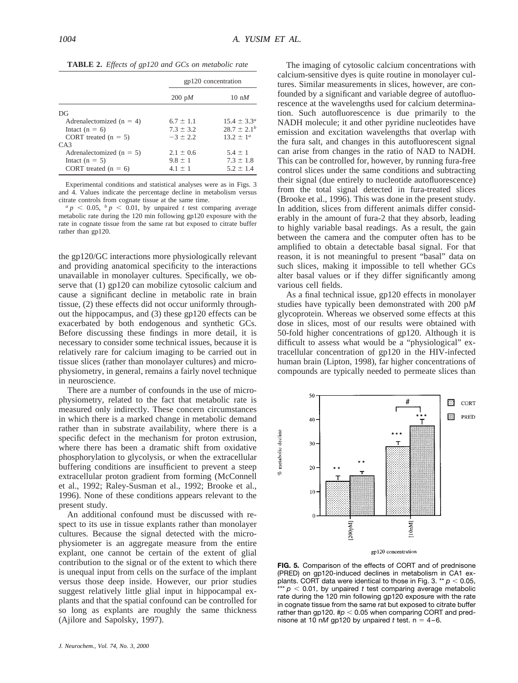|                              | gp120 concentration |                        |
|------------------------------|---------------------|------------------------|
|                              | $200 \text{ pM}$    | $10 \text{ nM}$        |
| DG                           |                     |                        |
| Adrenalectomized ( $n = 4$ ) | $6.7 \pm 1.1$       | $15.4 \pm 3.3^{\circ}$ |
| Intact $(n = 6)$             | $73 + 32$           | $28.7 + 2.1b$          |
| CORT treated $(n = 5)$       | $-3 + 22$           | $13.2 + 1^a$           |
| $C_A$ 3                      |                     |                        |
| Adrenalectomized ( $n = 5$ ) | $2.1 \pm 0.6$       | $5.4 \pm 1$            |
| Intact $(n = 5)$             | $9.8 \pm 1$         | $7.3 \pm 1.8$          |
| CORT treated $(n = 6)$       | $4.1 \pm 1$         | $5.2 \pm 1.4$          |

Experimental conditions and statistical analyses were as in Figs. 3 and 4. Values indicate the percentage decline in metabolism versus

 $a p < 0.05$ ,  $b p < 0.01$ , by unpaired *t* test comparing average metabolic rate during the 120 min following gp120 exposure with the rate in cognate tissue from the same rat but exposed to citrate buffer rather than gp120.

the gp120/GC interactions more physiologically relevant and providing anatomical specificity to the interactions unavailable in monolayer cultures. Specifically, we observe that (1) gp120 can mobilize cytosolic calcium and cause a significant decline in metabolic rate in brain tissue, (2) these effects did not occur uniformly throughout the hippocampus, and (3) these gp120 effects can be exacerbated by both endogenous and synthetic GCs. Before discussing these findings in more detail, it is necessary to consider some technical issues, because it is relatively rare for calcium imaging to be carried out in tissue slices (rather than monolayer cultures) and microphysiometry, in general, remains a fairly novel technique in neuroscience.

There are a number of confounds in the use of microphysiometry, related to the fact that metabolic rate is measured only indirectly. These concern circumstances in which there is a marked change in metabolic demand rather than in substrate availability, where there is a specific defect in the mechanism for proton extrusion, where there has been a dramatic shift from oxidative phosphorylation to glycolysis, or when the extracellular buffering conditions are insufficient to prevent a steep extracellular proton gradient from forming (McConnell et al., 1992; Raley-Susman et al., 1992; Brooke et al., 1996). None of these conditions appears relevant to the present study.

An additional confound must be discussed with respect to its use in tissue explants rather than monolayer cultures. Because the signal detected with the microphysiometer is an aggregate measure from the entire explant, one cannot be certain of the extent of glial contribution to the signal or of the extent to which there is unequal input from cells on the surface of the implant versus those deep inside. However, our prior studies suggest relatively little glial input in hippocampal explants and that the spatial confound can be controlled for so long as explants are roughly the same thickness (Ajilore and Sapolsky, 1997).

The imaging of cytosolic calcium concentrations with calcium-sensitive dyes is quite routine in monolayer cultures. Similar measurements in slices, however, are confounded by a significant and variable degree of autofluorescence at the wavelengths used for calcium determination. Such autofluorescence is due primarily to the NADH molecule; it and other pyridine nucleotides have emission and excitation wavelengths that overlap with the fura salt, and changes in this autofluorescent signal can arise from changes in the ratio of NAD to NADH. This can be controlled for, however, by running fura-free control slices under the same conditions and subtracting their signal (due entirely to nucleotide autofluorescence) from the total signal detected in fura-treated slices (Brooke et al., 1996). This was done in the present study. In addition, slices from different animals differ considerably in the amount of fura-2 that they absorb, leading to highly variable basal readings. As a result, the gain between the camera and the computer often has to be amplified to obtain a detectable basal signal. For that reason, it is not meaningful to present "basal" data on such slices, making it impossible to tell whether GCs alter basal values or if they differ significantly among various cell fields.

As a final technical issue, gp120 effects in monolayer studies have typically been demonstrated with 200 p*M* glycoprotein. Whereas we observed some effects at this dose in slices, most of our results were obtained with 50-fold higher concentrations of gp120. Although it is difficult to assess what would be a "physiological" extracellular concentration of gp120 in the HIV-infected human brain (Lipton, 1998), far higher concentrations of compounds are typically needed to permeate slices than



gp120 concentration

**FIG. 5.** Comparison of the effects of CORT and of prednisone (PRED) on gp120-induced declines in metabolism in CA1 explants. CORT data were identical to those in Fig. 3.  $*$   $p$  < 0.05, \*\*\*  $p < 0.01$ , by unpaired *t* test comparing average metabolic rate during the 120 min following gp120 exposure with the rate in cognate tissue from the same rat but exposed to citrate buffer rather than gp120.  $\text{\#p}$  < 0.05 when comparing CORT and prednisone at 10 nM gp120 by unpaired *t* test.  $n = 4-6$ .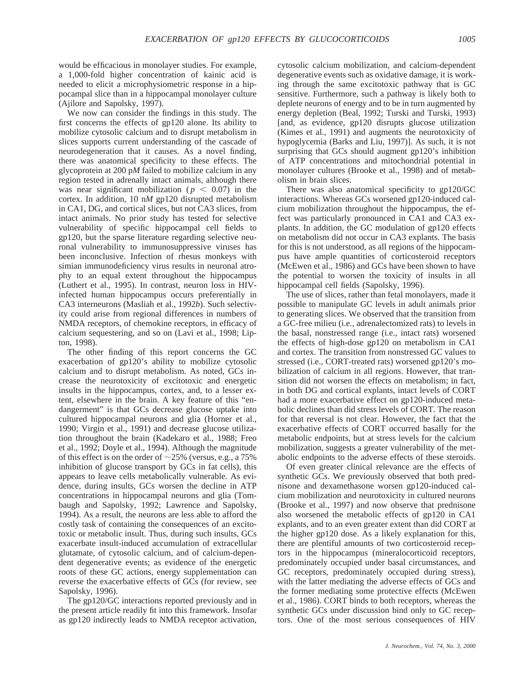would be efficacious in monolayer studies. For example, a 1,000-fold higher concentration of kainic acid is needed to elicit a microphysiometric response in a hippocampal slice than in a hippocampal monolayer culture (Ajilore and Sapolsky, 1997).

We now can consider the findings in this study. The first concerns the effects of gp120 alone. Its ability to mobilize cytosolic calcium and to disrupt metabolism in slices supports current understanding of the cascade of neurodegeneration that it causes. As a novel finding, there was anatomical specificity to these effects. The glycoprotein at 200 p*M* failed to mobilize calcium in any region tested in adrenally intact animals, although there was near significant mobilization ( $p < 0.07$ ) in the cortex. In addition, 10 n*M* gp120 disrupted metabolism in CA1, DG, and cortical slices, but not CA3 slices, from intact animals. No prior study has tested for selective vulnerability of specific hippocampal cell fields to gp120, but the sparse literature regarding selective neuronal vulnerability to immunosuppressive viruses has been inconclusive. Infection of rhesus monkeys with simian immunodeficiency virus results in neuronal atrophy to an equal extent throughout the hippocampus (Luthert et al., 1995). In contrast, neuron loss in HIVinfected human hippocampus occurs preferentially in CA3 interneurons (Masliah et al., 1992*b*). Such selectivity could arise from regional differences in numbers of NMDA receptors, of chemokine receptors, in efficacy of calcium sequestering, and so on (Lavi et al., 1998; Lipton, 1998).

The other finding of this report concerns the GC exacerbation of gp120's ability to mobilize cytosolic calcium and to disrupt metabolism. As noted, GCs increase the neurotoxicity of excitotoxic and energetic insults in the hippocampus, cortex, and, to a lesser extent, elsewhere in the brain. A key feature of this "endangerment" is that GCs decrease glucose uptake into cultured hippocampal neurons and glia (Horner et al., 1990; Virgin et al., 1991) and decrease glucose utilization throughout the brain (Kadekaro et al., 1988; Freo et al., 1992; Doyle et al., 1994). Although the magnitude of this effect is on the order of  $\sim$ 25% (versus, e.g., a 75%) inhibition of glucose transport by GCs in fat cells), this appears to leave cells metabolically vulnerable. As evidence, during insults, GCs worsen the decline in ATP concentrations in hippocampal neurons and glia (Tombaugh and Sapolsky, 1992; Lawrence and Sapolsky, 1994). As a result, the neurons are less able to afford the costly task of containing the consequences of an excitotoxic or metabolic insult. Thus, during such insults, GCs exacerbate insult-induced accumulation of extracellular glutamate, of cytosolic calcium, and of calcium-dependent degenerative events; as evidence of the energetic roots of these GC actions, energy supplementation can reverse the exacerbative effects of GCs (for review, see Sapolsky, 1996).

The gp120/GC interactions reported previously and in the present article readily fit into this framework. Insofar as gp120 indirectly leads to NMDA receptor activation, cytosolic calcium mobilization, and calcium-dependent degenerative events such as oxidative damage, it is working through the same excitotoxic pathway that is GC sensitive. Furthermore, such a pathway is likely both to deplete neurons of energy and to be in turn augmented by energy depletion (Beal, 1992; Turski and Turski, 1993) [and, as evidence, gp120 disrupts glucose utilization (Kimes et al., 1991) and augments the neurotoxicity of hypoglycemia (Barks and Liu, 1997)]. As such, it is not surprising that GCs should augment gp120's inhibition of ATP concentrations and mitochondrial potential in monolayer cultures (Brooke et al., 1998) and of metabolism in brain slices.

There was also anatomical specificity to gp120/GC interactions. Whereas GCs worsened gp120-induced calcium mobilization throughout the hippocampus, the effect was particularly pronounced in CA1 and CA3 explants. In addition, the GC modulation of gp120 effects on metabolism did not occur in CA3 explants. The basis for this is not understood, as all regions of the hippocampus have ample quantities of corticosteroid receptors (McEwen et al., 1986) and GCs have been shown to have the potential to worsen the toxicity of insults in all hippocampal cell fields (Sapolsky, 1996).

The use of slices, rather than fetal monolayers, made it possible to manipulate GC levels in adult animals prior to generating slices. We observed that the transition from a GC-free milieu (i.e., adrenalectomized rats) to levels in the basal, nonstressed range (i.e., intact rats) worsened the effects of high-dose gp120 on metabolism in CA1 and cortex. The transition from nonstressed GC values to stressed (i.e., CORT-treated rats) worsened gp120's mobilization of calcium in all regions. However, that transition did not worsen the effects on metabolism; in fact, in both DG and cortical explants, intact levels of CORT had a more exacerbative effect on gp120-induced metabolic declines than did stress levels of CORT. The reason for that reversal is not clear. However, the fact that the exacerbative effects of CORT occurred basally for the metabolic endpoints, but at stress levels for the calcium mobilization, suggests a greater vulnerability of the metabolic endpoints to the adverse effects of these steroids.

Of even greater clinical relevance are the effects of synthetic GCs. We previously observed that both prednisone and dexamethasone worsen gp120-induced calcium mobilization and neurotoxicity in cultured neurons (Brooke et al., 1997) and now observe that prednisone also worsened the metabolic effects of gp120 in CA1 explants, and to an even greater extent than did CORT at the higher gp120 dose. As a likely explanation for this, there are plentiful amounts of two corticosteroid receptors in the hippocampus (mineralocorticoid receptors, predominately occupied under basal circumstances, and GC receptors, predominately occupied during stress), with the latter mediating the adverse effects of GCs and the former mediating some protective effects (McEwen et al., 1986). CORT binds to both receptors, whereas the synthetic GCs under discussion bind only to GC receptors. One of the most serious consequences of HIV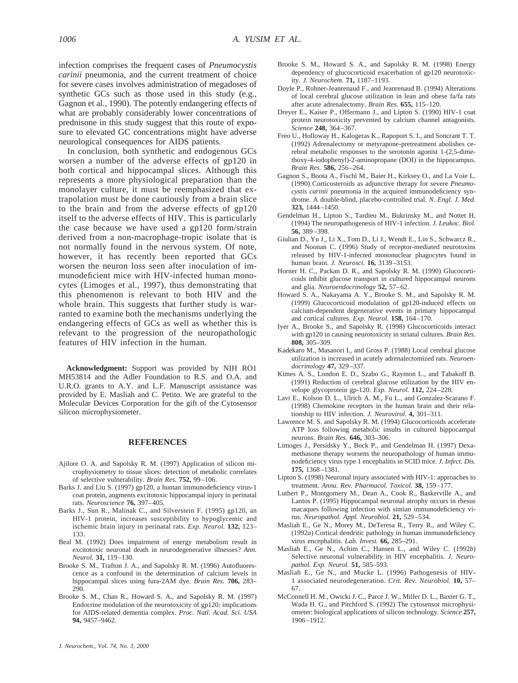infection comprises the frequent cases of *Pneumocystis carinii* pneumonia, and the current treatment of choice for severe cases involves administration of megadoses of synthetic GCs such as those used in this study (e.g., Gagnon et al., 1990). The potently endangering effects of what are probably considerably lower concentrations of prednisone in this study suggest that this route of exposure to elevated GC concentrations might have adverse neurological consequences for AIDS patients.

In conclusion, both synthetic and endogenous GCs worsen a number of the adverse effects of gp120 in both cortical and hippocampal slices. Although this represents a more physiological preparation than the monolayer culture, it must be reemphasized that extrapolation must be done cautiously from a brain slice to the brain and from the adverse effects of gp120 itself to the adverse effects of HIV. This is particularly the case because we have used a gp120 form/strain derived from a non-macrophage-tropic isolate that is not normally found in the nervous system. Of note, however, it has recently been reported that GCs worsen the neuron loss seen after inoculation of immunodeficient mice with HIV-infected human monocytes (Limoges et al., 1997), thus demonstrating that this phenomenon is relevant to both HIV and the whole brain. This suggests that further study is warranted to examine both the mechanisms underlying the endangering effects of GCs as well as whether this is relevant to the progression of the neuropathologic features of HIV infection in the human.

**Acknowledgment:** Support was provided by NIH RO1 MH53814 and the Adler Foundation to R.S. and O.A. and U.R.O. grants to A.Y. and L.F. Manuscript assistance was provided by E. Masliah and C. Petito. We are grateful to the Molecular Devices Corporation for the gift of the Cytosensor silicon microphysiometer.

## **REFERENCES**

- Ajilore O. A. and Sapolsky R. M. (1997) Application of silicon microphysiometry to tissue slices: detection of metabolic correlates of selective vulnerability. *Brain Res.* **752,** 99–106.
- Barks J. and Liu S. (1997) gp120, a human immunodeficiency virus-1 coat protein, augments excitotoxic hippocampal injury in perinatal rats. *Neuroscience* **76,** 397–405.
- Barks J., Sun R., Malinak C., and Silverstein F. (1995) gp120, an HIV-1 protein, increases susceptibility to hypoglycemic and ischemic brain injury in perinatal rats. *Exp. Neurol.* **132,** 123– 133.
- Beal M. (1992) Does impairment of energy metabolism result in excitotoxic neuronal death in neurodegenerative illnesses? *Ann. Neurol.* **31,** 119–130.
- Brooke S. M., Trafton J. A., and Sapolsky R. M. (1996) Autofluorescence as a confound in the determination of calcium levels in hippocampal slices using fura-2AM dye. *Brain Res.* **706,** 283– 290.
- Brooke S. M., Chan R., Howard S. A., and Sapolsky R. M. (1997) Endocrine modulation of the neurotoxicity of gp120: implications for AIDS-related dementia complex. *Proc. Natl. Acad. Sci. USA* **94,** 9457–9462.
- Brooke S. M., Howard S. A., and Sapolsky R. M. (1998) Energy dependency of glucocorticoid exacerbation of gp120 neurotoxicity. *J. Neurochem.* **71,** 1187–1193.
- Doyle P., Rohner-Jeanrenaud F., and Jeanrenaud B. (1994) Alterations of local cerebral glucose utilization in lean and obese fa/fa rats after acute adrenalectomy. *Brain Res.* **655,** 115–120.
- Dreyer E., Kaiser P., Offermann J., and Lipton S. (1990) HIV-1 coat protein neurotoxicity prevented by calcium channel antagonists. *Science* **248,** 364–367.
- Freo U., Holloway H., Kalogeras K., Rapoport S. I., and Soncrant T. T. (1992) Adrenalectomy or metyrapone-pretreatment abolishes cerebral metabolic responses to the serotonin agonist 1-(2,5-dimethoxy-4-iodophenyl)-2-aminopropane (DOI) in the hippocampus. *Brain Res.* **586,** 256–264.
- Gagnon S., Boota A., Fischl M., Baier H., Kirksey O., and La Voie L. (1990) Corticosteroids as adjunctive therapy for severe *Pneumocystis carinii* pneumonia in the acquired immunodeficiency syndrome. A double-blind, placebo-controlled trial. *N. Engl. J. Med.* **323,** 1444–1450.
- Gendelman H., Lipton S., Tardieu M., Bukrinsky M., and Nottet H. (1994) The neuropathogenesis of HIV-1 infection. *J. Leukoc. Biol.* **56,** 389–398.
- Giulian D., Yu J., Li X., Tom D., Li J., Wendt E., Lin S., Schwarcz R., and Noonan C. (1996) Study of receptor-mediated neurotoxins released by HIV-1-infected mononuclear phagocytes found in human brain. *J. Neurosci.* **16,** 3139–3153.
- Horner H. C., Packan D. R., and Sapolsky R. M. (1990) Glucocorticoids inhibit glucose transport in cultured hippocampal neurons and glia. *Neuroendocrinology* **52,** 57–62.
- Howard S. A., Nakayama A. Y., Brooke S. M., and Sapolsky R. M. (1999) Glucocorticoid modulation of gp120-induced effects on calcium-dependent degenerative events in primary hippocampal and cortical cultures. *Exp. Neurol.* **158,** 164–170.
- Iyer A., Brooke S., and Sapolsky R. (1998) Glucocorticoids interact with gp120 in causing neurotoxicity in striatal cultures. *Brain Res.* **808,** 305–309.
- Kadekaro M., Masanori I., and Gross P. (1988) Local cerebral glucose utilization is increased in acutely adrenalectomized rats. *Neuroendocrinology* **47,** 329–337.
- Kimes A. S., London E. D., Szabo G., Raymon L., and Tabakoff B. (1991) Reduction of cerebral glucose utilization by the HIV envelope glycoprotein gp-120. *Exp. Neurol.* **112,** 224–228.
- Lavi E., Kolson D. L., Ulrich A. M., Fu L., and Gonzalez-Scarano F. (1998) Chemokine receptors in the human brain and their relationship to HIV infection. *J. Neurovirol.* **4,** 301–311.
- Lawrence M. S. and Sapolsky R. M. (1994) Glucocorticoids accelerate ATP loss following metabolic insults in cultured hippocampal neurons. *Brain Res.* **646,** 303–306.
- Limoges J., Persidsky Y., Bock P., and Gendelman H. (1997) Dexamethasone therapy worsens the neuropathology of human immunodeficiency virus type 1 encephalitis in SCID mice. *J. Infect. Dis.* **175,** 1368–1381.
- Lipton S. (1998) Neuronal injury associated with HIV-1: approaches to treatment. *Annu. Rev. Pharmacol. Toxicol.* **38,** 159–177.
- Luthert P., Montgomery M., Dean A., Cook R., Baskerville A., and Lantos P. (1995) Hippocampal neuronal atrophy occurs in rhesus macaques following infection with simian immunodeficiency virus. *Neuropathol. Appl. Neurobiol.* **21,** 529–534.
- Masliah E., Ge N., Morey M., DeTeresa R., Terry R., and Wiley C. (1992*a*) Cortical dendritic pathology in human immunodeficiency virus encephalitis. *Lab. Invest.* **66,** 285–291.
- Masliah E., Ge N., Achim C., Hansen L., and Wiley C. (1992*b*) Selective neuronal vulnerability in HIV encephalitis. *J. Neuropathol. Exp. Neurol.* **51,** 585–593.
- Masliah E., Ge N., and Mucke L. (1996) Pathogenesis of HIV-1 associated neurodegeneration. *Crit. Rev. Neurobiol.* **10,** 57– 67.
- McConnell H. M., Owicki J. C., Parce J. W., Miller D. L., Baxter G. T., Wada H. G., and Pitchford S. (1992) The cytosensor microphysiometer: biological applications of silicon technology. *Science* **257,** 1906–1912.